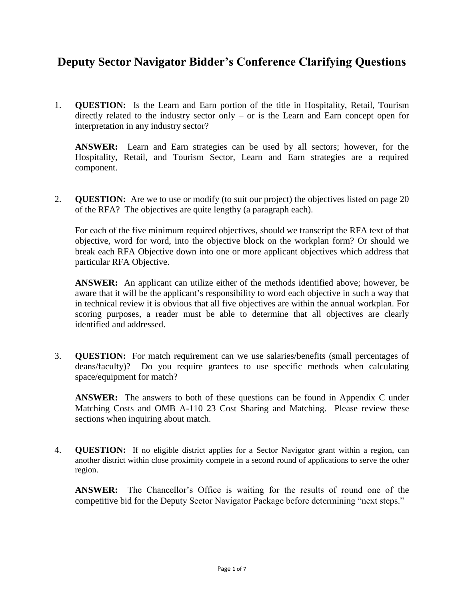## **Deputy Sector Navigator Bidder's Conference Clarifying Questions**

1. **QUESTION:** Is the Learn and Earn portion of the title in Hospitality, Retail, Tourism directly related to the industry sector only – or is the Learn and Earn concept open for interpretation in any industry sector?

**ANSWER:** Learn and Earn strategies can be used by all sectors; however, for the Hospitality, Retail, and Tourism Sector, Learn and Earn strategies are a required component.

2. **QUESTION:** Are we to use or modify (to suit our project) the objectives listed on page 20 of the RFA? The objectives are quite lengthy (a paragraph each).

For each of the five minimum required objectives, should we transcript the RFA text of that objective, word for word, into the objective block on the workplan form? Or should we break each RFA Objective down into one or more applicant objectives which address that particular RFA Objective.

**ANSWER:** An applicant can utilize either of the methods identified above; however, be aware that it will be the applicant's responsibility to word each objective in such a way that in technical review it is obvious that all five objectives are within the annual workplan. For scoring purposes, a reader must be able to determine that all objectives are clearly identified and addressed.

3. **QUESTION:** For match requirement can we use salaries/benefits (small percentages of deans/faculty)? Do you require grantees to use specific methods when calculating space/equipment for match?

**ANSWER:** The answers to both of these questions can be found in Appendix C under Matching Costs and OMB A-110 23 Cost Sharing and Matching. Please review these sections when inquiring about match.

4. **QUESTION:** If no eligible district applies for a Sector Navigator grant within a region, can another district within close proximity compete in a second round of applications to serve the other region.

**ANSWER:** The Chancellor's Office is waiting for the results of round one of the competitive bid for the Deputy Sector Navigator Package before determining "next steps."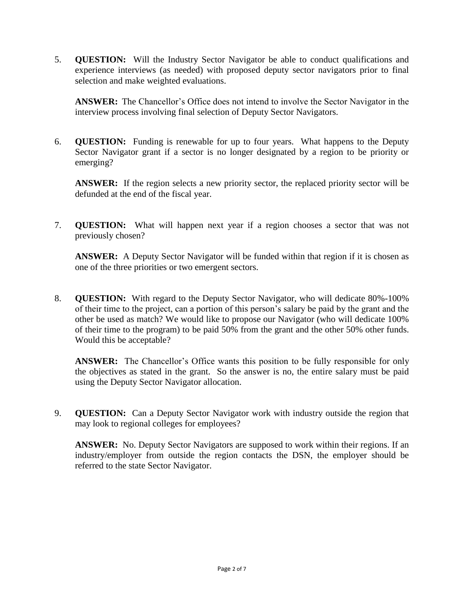5. **QUESTION:** Will the Industry Sector Navigator be able to conduct qualifications and experience interviews (as needed) with proposed deputy sector navigators prior to final selection and make weighted evaluations.

**ANSWER:** The Chancellor's Office does not intend to involve the Sector Navigator in the interview process involving final selection of Deputy Sector Navigators.

6. **QUESTION:** Funding is renewable for up to four years. What happens to the Deputy Sector Navigator grant if a sector is no longer designated by a region to be priority or emerging?

**ANSWER:** If the region selects a new priority sector, the replaced priority sector will be defunded at the end of the fiscal year.

7. **QUESTION:** What will happen next year if a region chooses a sector that was not previously chosen?

**ANSWER:** A Deputy Sector Navigator will be funded within that region if it is chosen as one of the three priorities or two emergent sectors.

8. **QUESTION:** With regard to the Deputy Sector Navigator, who will dedicate 80%-100% of their time to the project, can a portion of this person's salary be paid by the grant and the other be used as match? We would like to propose our Navigator (who will dedicate 100% of their time to the program) to be paid 50% from the grant and the other 50% other funds. Would this be acceptable?

**ANSWER:** The Chancellor's Office wants this position to be fully responsible for only the objectives as stated in the grant. So the answer is no, the entire salary must be paid using the Deputy Sector Navigator allocation.

9. **QUESTION:** Can a Deputy Sector Navigator work with industry outside the region that may look to regional colleges for employees?

**ANSWER:** No. Deputy Sector Navigators are supposed to work within their regions. If an industry/employer from outside the region contacts the DSN, the employer should be referred to the state Sector Navigator.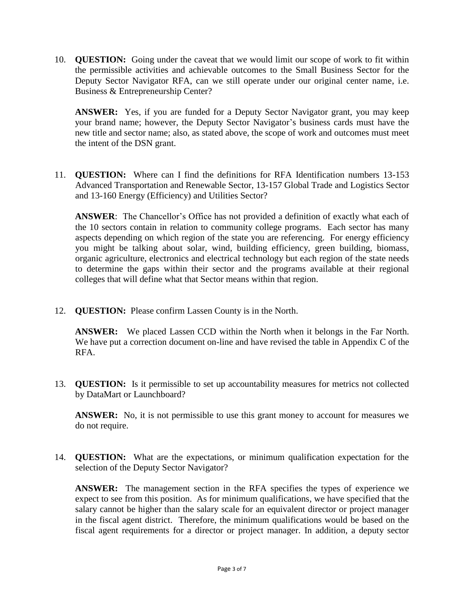10. **QUESTION:** Going under the caveat that we would limit our scope of work to fit within the permissible activities and achievable outcomes to the Small Business Sector for the Deputy Sector Navigator RFA, can we still operate under our original center name, i.e. Business & Entrepreneurship Center?

**ANSWER:** Yes, if you are funded for a Deputy Sector Navigator grant, you may keep your brand name; however, the Deputy Sector Navigator's business cards must have the new title and sector name; also, as stated above, the scope of work and outcomes must meet the intent of the DSN grant.

11. **QUESTION:** Where can I find the definitions for RFA Identification numbers 13-153 Advanced Transportation and Renewable Sector, 13-157 Global Trade and Logistics Sector and 13-160 Energy (Efficiency) and Utilities Sector?

**ANSWER**: The Chancellor's Office has not provided a definition of exactly what each of the 10 sectors contain in relation to community college programs. Each sector has many aspects depending on which region of the state you are referencing. For energy efficiency you might be talking about solar, wind, building efficiency, green building, biomass, organic agriculture, electronics and electrical technology but each region of the state needs to determine the gaps within their sector and the programs available at their regional colleges that will define what that Sector means within that region.

12. **QUESTION:** Please confirm Lassen County is in the North.

**ANSWER:** We placed Lassen CCD within the North when it belongs in the Far North. We have put a correction document on-line and have revised the table in Appendix C of the RFA.

13. **QUESTION:** Is it permissible to set up accountability measures for metrics not collected by DataMart or Launchboard?

**ANSWER:** No, it is not permissible to use this grant money to account for measures we do not require.

14. **QUESTION:** What are the expectations, or minimum qualification expectation for the selection of the Deputy Sector Navigator?

**ANSWER:** The management section in the RFA specifies the types of experience we expect to see from this position. As for minimum qualifications, we have specified that the salary cannot be higher than the salary scale for an equivalent director or project manager in the fiscal agent district. Therefore, the minimum qualifications would be based on the fiscal agent requirements for a director or project manager. In addition, a deputy sector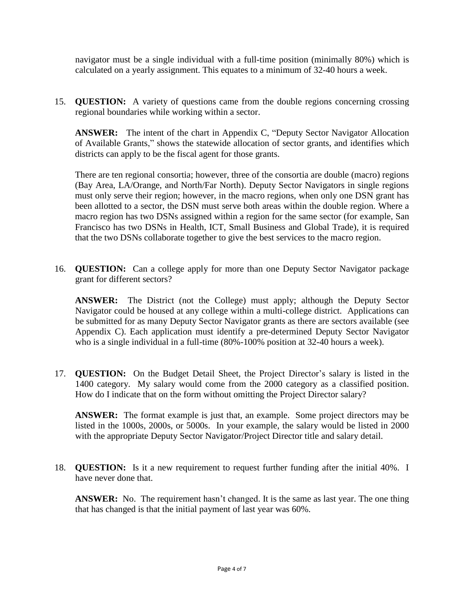navigator must be a single individual with a full-time position (minimally 80%) which is calculated on a yearly assignment. This equates to a minimum of 32-40 hours a week.

15. **QUESTION:** A variety of questions came from the double regions concerning crossing regional boundaries while working within a sector.

**ANSWER:** The intent of the chart in Appendix C, "Deputy Sector Navigator Allocation of Available Grants," shows the statewide allocation of sector grants, and identifies which districts can apply to be the fiscal agent for those grants.

There are ten regional consortia; however, three of the consortia are double (macro) regions (Bay Area, LA/Orange, and North/Far North). Deputy Sector Navigators in single regions must only serve their region; however, in the macro regions, when only one DSN grant has been allotted to a sector, the DSN must serve both areas within the double region. Where a macro region has two DSNs assigned within a region for the same sector (for example, San Francisco has two DSNs in Health, ICT, Small Business and Global Trade), it is required that the two DSNs collaborate together to give the best services to the macro region.

16. **QUESTION:** Can a college apply for more than one Deputy Sector Navigator package grant for different sectors?

**ANSWER:** The District (not the College) must apply; although the Deputy Sector Navigator could be housed at any college within a multi-college district. Applications can be submitted for as many Deputy Sector Navigator grants as there are sectors available (see Appendix C). Each application must identify a pre-determined Deputy Sector Navigator who is a single individual in a full-time (80%-100% position at 32-40 hours a week).

17. **QUESTION:** On the Budget Detail Sheet, the Project Director's salary is listed in the 1400 category. My salary would come from the 2000 category as a classified position. How do I indicate that on the form without omitting the Project Director salary?

**ANSWER:** The format example is just that, an example. Some project directors may be listed in the 1000s, 2000s, or 5000s. In your example, the salary would be listed in 2000 with the appropriate Deputy Sector Navigator/Project Director title and salary detail.

18. **QUESTION:** Is it a new requirement to request further funding after the initial 40%. I have never done that.

**ANSWER:** No. The requirement hasn't changed. It is the same as last year. The one thing that has changed is that the initial payment of last year was 60%.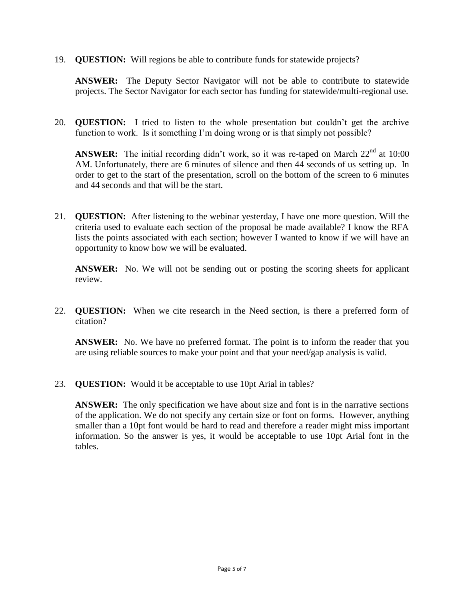19. **QUESTION:** Will regions be able to contribute funds for statewide projects?

**ANSWER:** The Deputy Sector Navigator will not be able to contribute to statewide projects. The Sector Navigator for each sector has funding for statewide/multi-regional use.

20. **QUESTION:** I tried to listen to the whole presentation but couldn't get the archive function to work. Is it something I'm doing wrong or is that simply not possible?

**ANSWER:** The initial recording didn't work, so it was re-taped on March 22<sup>nd</sup> at 10:00 AM. Unfortunately, there are 6 minutes of silence and then 44 seconds of us setting up. In order to get to the start of the presentation, scroll on the bottom of the screen to 6 minutes and 44 seconds and that will be the start.

21. **QUESTION:** After listening to the webinar yesterday, I have one more question. Will the criteria used to evaluate each section of the proposal be made available? I know the RFA lists the points associated with each section; however I wanted to know if we will have an opportunity to know how we will be evaluated.

**ANSWER:** No. We will not be sending out or posting the scoring sheets for applicant review.

22. **QUESTION:** When we cite research in the Need section, is there a preferred form of citation?

**ANSWER:** No. We have no preferred format. The point is to inform the reader that you are using reliable sources to make your point and that your need/gap analysis is valid.

23. **QUESTION:** Would it be acceptable to use 10pt Arial in tables?

**ANSWER:** The only specification we have about size and font is in the narrative sections of the application. We do not specify any certain size or font on forms. However, anything smaller than a 10pt font would be hard to read and therefore a reader might miss important information. So the answer is yes, it would be acceptable to use 10pt Arial font in the tables.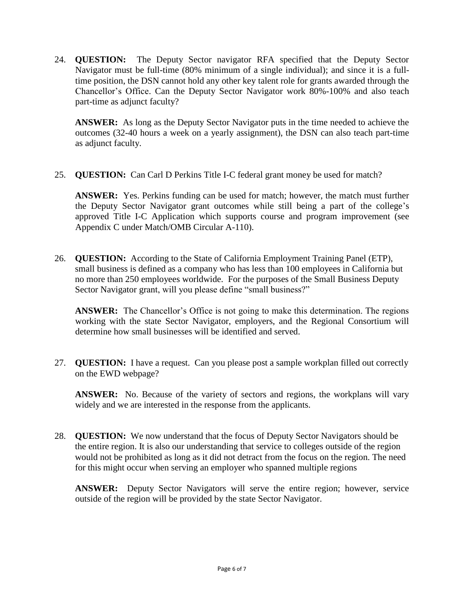24. **QUESTION:** The Deputy Sector navigator RFA specified that the Deputy Sector Navigator must be full-time (80% minimum of a single individual); and since it is a fulltime position, the DSN cannot hold any other key talent role for grants awarded through the Chancellor's Office. Can the Deputy Sector Navigator work 80%-100% and also teach part-time as adjunct faculty?

**ANSWER:** As long as the Deputy Sector Navigator puts in the time needed to achieve the outcomes (32-40 hours a week on a yearly assignment), the DSN can also teach part-time as adjunct faculty.

25. **QUESTION:** Can Carl D Perkins Title I-C federal grant money be used for match?

**ANSWER:** Yes. Perkins funding can be used for match; however, the match must further the Deputy Sector Navigator grant outcomes while still being a part of the college's approved Title I-C Application which supports course and program improvement (see Appendix C under Match/OMB Circular A-110).

26. **QUESTION:** According to the State of California Employment Training Panel (ETP), small business is defined as a company who has less than 100 employees in California but no more than 250 employees worldwide. For the purposes of the Small Business Deputy Sector Navigator grant, will you please define "small business?"

**ANSWER:** The Chancellor's Office is not going to make this determination. The regions working with the state Sector Navigator, employers, and the Regional Consortium will determine how small businesses will be identified and served.

27. **QUESTION:** I have a request. Can you please post a sample workplan filled out correctly on the EWD webpage?

**ANSWER:** No. Because of the variety of sectors and regions, the workplans will vary widely and we are interested in the response from the applicants.

28. **QUESTION:** We now understand that the focus of Deputy Sector Navigators should be the entire region. It is also our understanding that service to colleges outside of the region would not be prohibited as long as it did not detract from the focus on the region. The need for this might occur when serving an employer who spanned multiple regions

**ANSWER:** Deputy Sector Navigators will serve the entire region; however, service outside of the region will be provided by the state Sector Navigator.